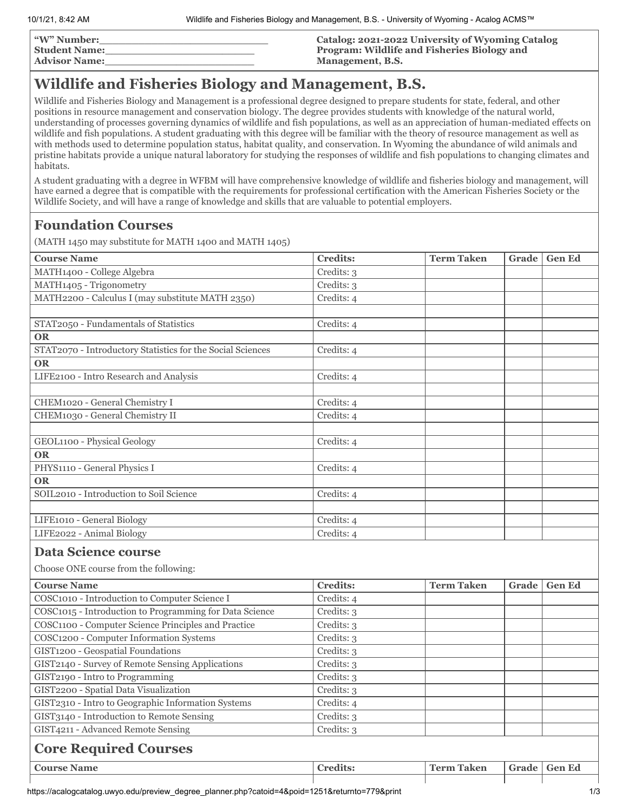| <b><i>"W"</i> Number:</b> | Catalog: 2021-2022 University of Wyoming Catalog   |
|---------------------------|----------------------------------------------------|
| <b>Student Name:</b>      | <b>Program: Wildlife and Fisheries Biology and</b> |
| <b>Advisor Name:</b>      | Management, B.S.                                   |

# **Wildlife and Fisheries Biology and Management, B.S.**

Wildlife and Fisheries Biology and Management is a professional degree designed to prepare students for state, federal, and other positions in resource management and conservation biology. The degree provides students with knowledge of the natural world, understanding of processes governing dynamics of wildlife and fish populations, as well as an appreciation of human-mediated effects on wildlife and fish populations. A student graduating with this degree will be familiar with the theory of resource management as well as with methods used to determine population status, habitat quality, and conservation. In Wyoming the abundance of wild animals and pristine habitats provide a unique natural laboratory for studying the responses of wildlife and fish populations to changing climates and habitats.

A student graduating with a degree in WFBM will have comprehensive knowledge of wildlife and fisheries biology and management, will have earned a degree that is compatible with the requirements for professional certification with the American Fisheries Society or the Wildlife Society, and will have a range of knowledge and skills that are valuable to potential employers.

## **Foundation Courses**

(MATH 1450 may substitute for MATH 1400 and MATH 1405)

| <b>Course Name</b>                                                  | <b>Credits:</b> | <b>Term Taken</b> | Grade | <b>Gen Ed</b> |
|---------------------------------------------------------------------|-----------------|-------------------|-------|---------------|
| MATH1400 - College Algebra                                          | Credits: 3      |                   |       |               |
| MATH1405 - Trigonometry                                             | Credits: 3      |                   |       |               |
| MATH2200 - Calculus I (may substitute MATH 2350)                    | Credits: 4      |                   |       |               |
|                                                                     |                 |                   |       |               |
| STAT2050 - Fundamentals of Statistics                               | Credits: 4      |                   |       |               |
| <b>OR</b>                                                           |                 |                   |       |               |
| STAT2070 - Introductory Statistics for the Social Sciences          | Credits: 4      |                   |       |               |
| <b>OR</b>                                                           |                 |                   |       |               |
| LIFE2100 - Intro Research and Analysis                              | Credits: 4      |                   |       |               |
|                                                                     |                 |                   |       |               |
| CHEM1020 - General Chemistry I                                      | Credits: 4      |                   |       |               |
| CHEM1030 - General Chemistry II                                     | Credits: 4      |                   |       |               |
|                                                                     |                 |                   |       |               |
| GEOL1100 - Physical Geology                                         | Credits: 4      |                   |       |               |
| <b>OR</b>                                                           |                 |                   |       |               |
| PHYS1110 - General Physics I                                        | Credits: 4      |                   |       |               |
| <b>OR</b>                                                           |                 |                   |       |               |
| SOIL2010 - Introduction to Soil Science                             | Credits: 4      |                   |       |               |
|                                                                     |                 |                   |       |               |
| LIFE1010 - General Biology                                          | Credits: 4      |                   |       |               |
| LIFE2022 - Animal Biology                                           | Credits: 4      |                   |       |               |
| <b>Data Science course</b><br>Choose ONE course from the following: |                 |                   |       |               |
|                                                                     | <b>Credits:</b> | <b>Term Taken</b> |       |               |
| <b>Course Name</b>                                                  |                 |                   | Grade | <b>Gen Ed</b> |
| COSC1010 - Introduction to Computer Science I                       | Credits: 4      |                   |       |               |
| COSC1015 - Introduction to Programming for Data Science             | Credits: 3      |                   |       |               |
| COSC1100 - Computer Science Principles and Practice                 | Credits: 3      |                   |       |               |
| COSC1200 - Computer Information Systems                             | Credits: 3      |                   |       |               |
| GIST1200 - Geospatial Foundations                                   | Credits: 3      |                   |       |               |
| GIST2140 - Survey of Remote Sensing Applications                    | Credits: 3      |                   |       |               |

| GIST2200 - Spatial Data Visualization              | Credits: 3      |                   |  |                |
|----------------------------------------------------|-----------------|-------------------|--|----------------|
| GIST2310 - Intro to Geographic Information Systems | Credits: 4      |                   |  |                |
| GIST3140 - Introduction to Remote Sensing          | Credits: 3      |                   |  |                |
| GIST4211 - Advanced Remote Sensing                 | Credits: 3      |                   |  |                |
| <b>Core Required Courses</b>                       |                 |                   |  |                |
| <b>Course Name</b>                                 | <b>Credits:</b> | <b>Term Taken</b> |  | Grade   Gen Ed |
|                                                    |                 |                   |  |                |

GIST2190 - Intro to Programming Credits: 3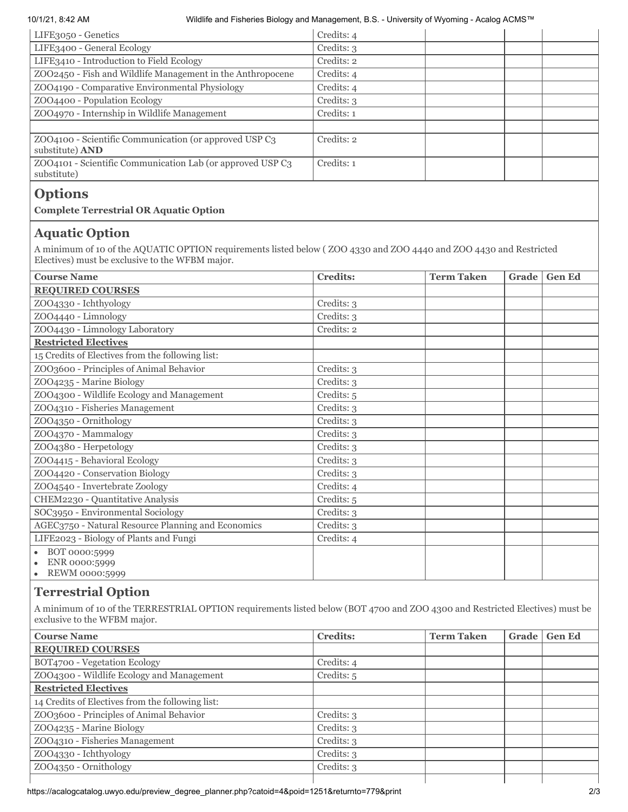#### 10/1/21, 8:42 AM Wildlife and Fisheries Biology and Management, B.S. - University of Wyoming - Acalog ACMS™

| LIFE3050 - Genetics                                                        | Credits: 4 |
|----------------------------------------------------------------------------|------------|
| LIFE3400 - General Ecology                                                 | Credits: 3 |
| LIFE3410 - Introduction to Field Ecology                                   | Credits: 2 |
| ZOO2450 - Fish and Wildlife Management in the Anthropocene                 | Credits: 4 |
| ZOO4190 - Comparative Environmental Physiology                             | Credits: 4 |
| ZOO4400 - Population Ecology                                               | Credits: 3 |
| ZOO4970 - Internship in Wildlife Management                                | Credits: 1 |
|                                                                            |            |
| ZOO4100 - Scientific Communication (or approved USP C3)<br>substitute) AND | Credits: 2 |
| ZOO4101 - Scientific Communication Lab (or approved USP C3<br>substitute)  | Credits: 1 |
|                                                                            |            |

## **Options**

### **Complete Terrestrial OR Aquatic Option**

### **Aquatic Option**

A minimum of 10 of the AQUATIC OPTION requirements listed below ( ZOO 4330 and ZOO 4440 and ZOO 4430 and Restricted Electives) must be exclusive to the WFBM major.

| <b>Course Name</b>                                 | <b>Credits:</b> | <b>Term Taken</b> | Grade | <b>Gen Ed</b> |
|----------------------------------------------------|-----------------|-------------------|-------|---------------|
| <b>REQUIRED COURSES</b>                            |                 |                   |       |               |
| ZOO4330 - Ichthyology                              | Credits: 3      |                   |       |               |
| ZOO4440 - Limnology                                | Credits: 3      |                   |       |               |
| ZOO4430 - Limnology Laboratory                     | Credits: 2      |                   |       |               |
| <b>Restricted Electives</b>                        |                 |                   |       |               |
| 15 Credits of Electives from the following list:   |                 |                   |       |               |
| ZOO3600 - Principles of Animal Behavior            | Credits: 3      |                   |       |               |
| ZOO4235 - Marine Biology                           | Credits: 3      |                   |       |               |
| ZOO4300 - Wildlife Ecology and Management          | Credits: 5      |                   |       |               |
| ZOO4310 - Fisheries Management                     | Credits: 3      |                   |       |               |
| ZOO4350 - Ornithology                              | Credits: 3      |                   |       |               |
| ZOO4370 - Mammalogy                                | Credits: 3      |                   |       |               |
| ZOO4380 - Herpetology                              | Credits: 3      |                   |       |               |
| ZOO4415 - Behavioral Ecology                       | Credits: 3      |                   |       |               |
| ZOO4420 - Conservation Biology                     | Credits: 3      |                   |       |               |
| ZOO4540 - Invertebrate Zoology                     | Credits: 4      |                   |       |               |
| CHEM2230 - Quantitative Analysis                   | Credits: 5      |                   |       |               |
| SOC3950 - Environmental Sociology                  | Credits: 3      |                   |       |               |
| AGEC3750 - Natural Resource Planning and Economics | Credits: 3      |                   |       |               |
| LIFE2023 - Biology of Plants and Fungi             | Credits: 4      |                   |       |               |
| BOT 0000:5999                                      |                 |                   |       |               |
| ENR 0000:5999                                      |                 |                   |       |               |
| REWM 0000:5999                                     |                 |                   |       |               |

## **Terrestrial Option**

A minimum of 10 of the TERRESTRIAL OPTION requirements listed below (BOT 4700 and ZOO 4300 and Restricted Electives) must be exclusive to the WFBM major.

| <b>Course Name</b>                               | <b>Credits:</b> | <b>Term Taken</b> | Grade | <b>Gen Ed</b> |
|--------------------------------------------------|-----------------|-------------------|-------|---------------|
| <b>REQUIRED COURSES</b>                          |                 |                   |       |               |
| BOT4700 - Vegetation Ecology                     | Credits: 4      |                   |       |               |
| ZOO4300 - Wildlife Ecology and Management        | Credits: 5      |                   |       |               |
| <b>Restricted Electives</b>                      |                 |                   |       |               |
| 14 Credits of Electives from the following list: |                 |                   |       |               |
| ZOO3600 - Principles of Animal Behavior          | Credits: 3      |                   |       |               |
| ZOO4235 - Marine Biology                         | Credits: 3      |                   |       |               |
| ZOO4310 - Fisheries Management                   | Credits: 3      |                   |       |               |
| ZOO4330 - Ichthyology                            | Credits: 3      |                   |       |               |
| ZOO4350 - Ornithology                            | Credits: 3      |                   |       |               |
|                                                  |                 |                   |       |               |